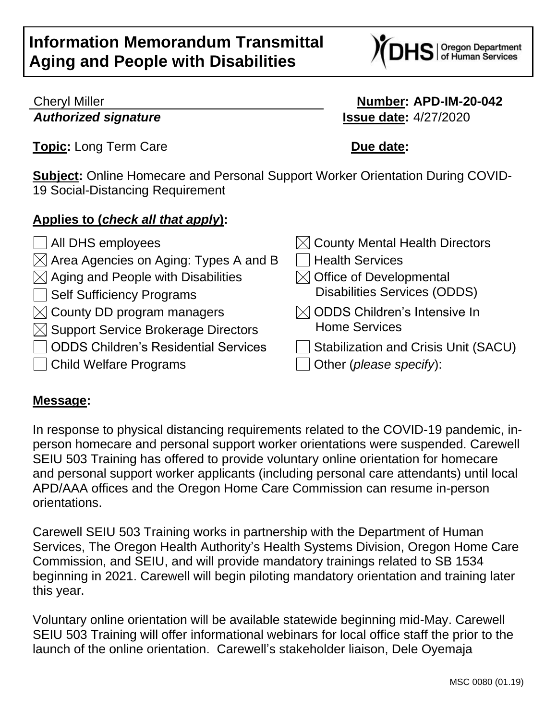

*Authorized signature* **Issue date:** 4/27/2020

## Cheryl Miller **Number: APD-IM-20-042**

**Topic:** Long Term Care **Due date:** 

**Subject:** Online Homecare and Personal Support Worker Orientation During COVID-19 Social-Distancing Requirement

#### **Applies to (***check all that apply***):**

- 
- $\boxtimes$  Area Agencies on Aging: Types A and B  $\Box$  Health Services
- $\boxtimes$  Aging and People with Disabilities  $\boxtimes$  Office of Developmental
- 
- $\boxtimes$  County DD program managers
- $\boxtimes$  Support Service Brokerage Directors
- $\Box$  ODDS Children's Residential Services  $\Box$  Stabilization and Crisis Unit (SACU)
- Child Welfare Programs Other (*please specify*):
- $\Box$  All DHS employees  $\boxtimes$  County Mental Health Directors
- □ Self Sufficiency Programs Disabilities Services (ODDS)
	- $\boxtimes$  ODDS Children's Intensive In Home Services
	-
	-

#### **Message:**

In response to physical distancing requirements related to the COVID-19 pandemic, inperson homecare and personal support worker orientations were suspended. Carewell SEIU 503 Training has offered to provide voluntary online orientation for homecare and personal support worker applicants (including personal care attendants) until local APD/AAA offices and the Oregon Home Care Commission can resume in-person orientations.

Carewell SEIU 503 Training works in partnership with the Department of Human Services, The Oregon Health Authority's Health Systems Division, Oregon Home Care Commission, and SEIU, and will provide mandatory trainings related to SB 1534 beginning in 2021. Carewell will begin piloting mandatory orientation and training later this year.

Voluntary online orientation will be available statewide beginning mid-May. Carewell SEIU 503 Training will offer informational webinars for local office staff the prior to the launch of the online orientation. Carewell's stakeholder liaison, Dele Oyemaja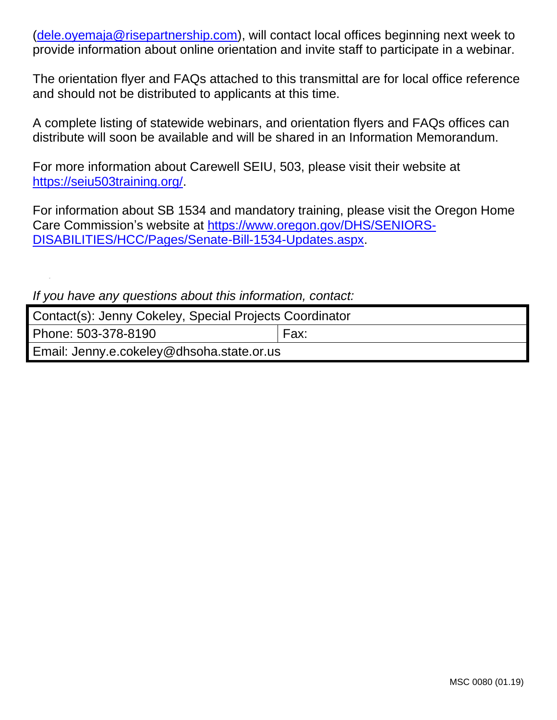[\(dele.oyemaja@risepartnership.com\)](mailto:dele.oyemaja@risepartnership.com), will contact local offices beginning next week to provide information about online orientation and invite staff to participate in a webinar.

The orientation flyer and FAQs attached to this transmittal are for local office reference and should not be distributed to applicants at this time.

A complete listing of statewide webinars, and orientation flyers and FAQs offices can distribute will soon be available and will be shared in an Information Memorandum.

For more information about Carewell SEIU, 503, please visit their website at [https://seiu503training.org/.](https://seiu503training.org/)

For information about SB 1534 and mandatory training, please visit the Oregon Home Care Commission's website at [https://www.oregon.gov/DHS/SENIORS-](https://www.oregon.gov/DHS/SENIORS-DISABILITIES/HCC/Pages/Senate-Bill-1534-Updates.aspx)[DISABILITIES/HCC/Pages/Senate-Bill-1534-Updates.aspx.](https://www.oregon.gov/DHS/SENIORS-DISABILITIES/HCC/Pages/Senate-Bill-1534-Updates.aspx)

*If you have any questions about this information, contact:*

| Contact(s): Jenny Cokeley, Special Projects Coordinator |      |
|---------------------------------------------------------|------|
| Phone: 503-378-8190                                     | Fax: |
| Email: Jenny.e.cokeley@dhsoha.state.or.us               |      |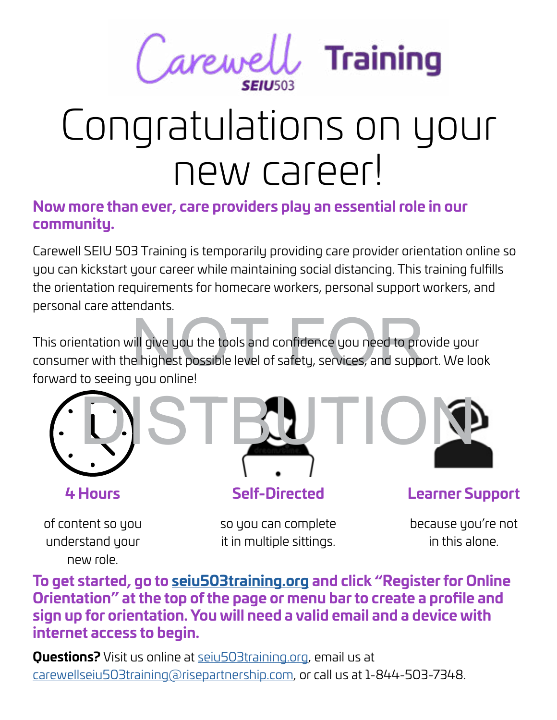

## Congratulations on your new career!

#### **Now more than ever, care providers play an essential role in our community.**

Carewell SEIU 503 Training is temporarily providing care provider orientation online so<br>you can kickstart your career while maintaining social distancing. This training fulfills<br>the orientation requirements for homecare wo you can kickstart your career while maintaining social distancing. This training fulfills the orientation requirements for homecare workers, personal support workers, and personal care attendants.

vill give you the tools and confidence you need to pro<br>e highest possible level of safety, services, and suppo This orientation will give you the tools and confidence you need to provide your consumer with the highest possible level of safety, services, and support. We look forward to seeing you online!





of content so you understand your new role.



#### **Self-Directed**

so you can complete it in multiple sittings.

**Learner Support**

because you're not in this alone.

**To get started, go to [seiu503training.org](http://seiu503training.org) and click "Register for Online Orientation" at the top of the page or menu bar to create a profile and sign up for orientation. You will need a valid email and a device with internet access to begin.**

**Questions?** Visit us online at [seiu503training.org](http://seiu503training.org), email us at [carewellseiu503training@risepartnership.com,](mailto:carewellseiu503training%40risepartnership.com?subject=Question%20about%20Online%20Orientation) or call us at 1-844-503-7348.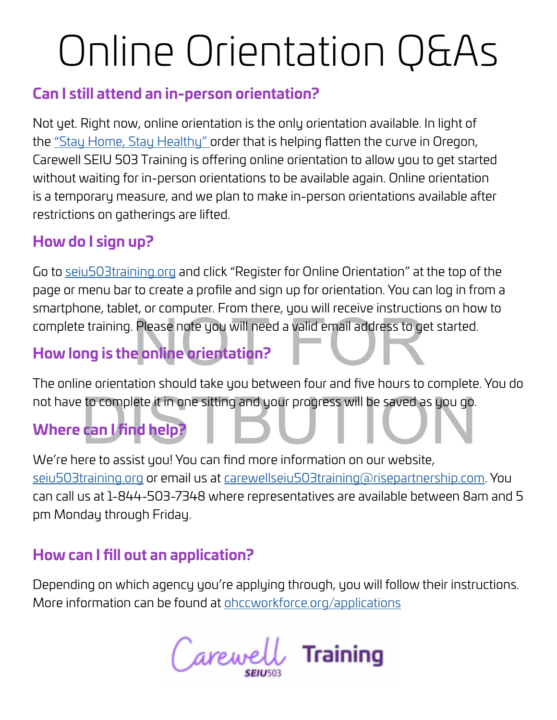# Online Orientation Q&As

#### **Can I still attend an in-person orientation?**

Not yet. Right now, online orientation is the only orientation available. In light of the ["Stay Home, Stay Healthy"](https://govstatus.egov.com/or-covid-19) order that is helping flatten the curve in Oregon, Carewell SEIU 503 Training is offering online orientation to allow you to get started without waiting for in-person orientations to be available again. Online orientation is a temporary measure, and we plan to make in-person orientations available after restrictions on gatherings are lifted.

#### **How do I sign up?**

complete training. Please note you will need a valid email address to get started.<br>How long is the online orientation?<br>The state of the continuent of the state of the state of the state of the state of the state of the sta Go to [seiu503training.org](http://seiu503training.org) and click "Register for Online Orientation" at the top of the page or menu bar to create a profile and sign up for orientation. You can log in from a smartphone, tablet, or computer. From there, you will receive instructions on how to

### **How long is the online orientation?**

not have to complete it in one sitting and your progress will be saved as you go.<br> **Where can I find help?**<br>
Where to assist you You san find more information on our website. The online orientation should take you between four and five hours to complete. You do

#### **Where can I find help?**

We're here to assist you! You can find more information on our website, [seiu503training.org](http://seiu503training.org) or email us at [carewellseiu503training@risepartnership.com](mailto:carewellseiu503training%40risepartnership.com?subject=Question%20about%20Online%20Orientation). You can call us at 1-844-503-7348 where representatives are available between 8am and 5 pm Monday through Friday.

#### **How can I fill out an application?**

Depending on which agency you're applying through, you will follow their instructions. More information can be found at [ohccworkforce.org/applications](http://ohccworkforce.org/applications)